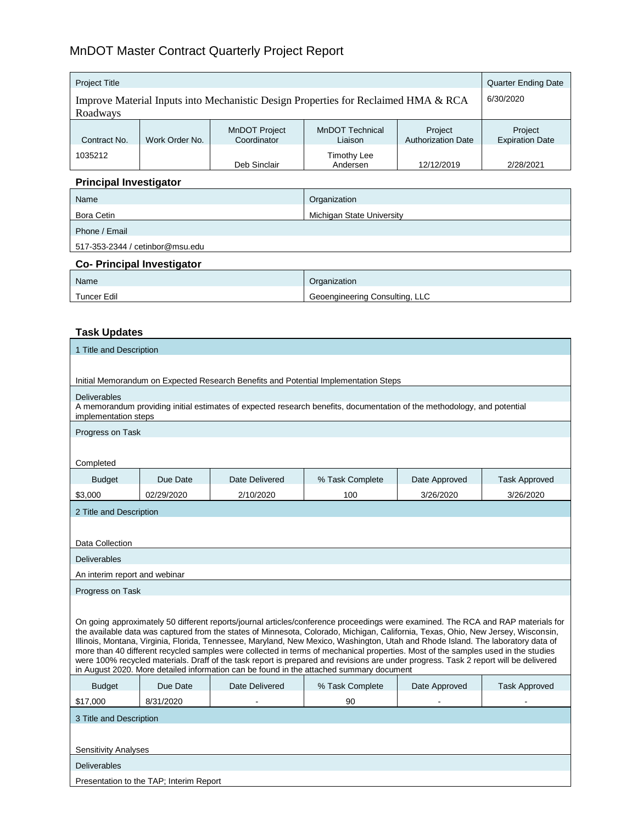# MnDOT Master Contract Quarterly Project Report

| <b>Project Title</b>                                                               |                |                                     |                                   | <b>Quarter Ending Date</b>           |                                   |
|------------------------------------------------------------------------------------|----------------|-------------------------------------|-----------------------------------|--------------------------------------|-----------------------------------|
| Improve Material Inputs into Mechanistic Design Properties for Reclaimed HMA & RCA |                |                                     |                                   | 6/30/2020                            |                                   |
| Roadways                                                                           |                |                                     |                                   |                                      |                                   |
| Contract No.                                                                       | Work Order No. | <b>MnDOT Project</b><br>Coordinator | <b>MnDOT Technical</b><br>Liaison | Project<br><b>Authorization Date</b> | Project<br><b>Expiration Date</b> |
| 1035212                                                                            |                | Deb Sinclair                        | <b>Timothy Lee</b><br>Andersen    | 12/12/2019                           | 2/28/2021                         |

## **Principal Investigator**

| Name                            | Organization              |  |  |
|---------------------------------|---------------------------|--|--|
| Bora Cetin                      | Michigan State University |  |  |
| Phone / Email                   |                           |  |  |
| 517-353-2344 / cetinbor@msu.edu |                           |  |  |
| _ _ _ _ _<br>$\sim$ $\sim$      |                           |  |  |

#### **Co- Principal Investigator**

| Name               | Organization                   |
|--------------------|--------------------------------|
| <b>Tuncer Edil</b> | Geoengineering Consulting, LLC |

### **Task Updates**

| 1 Title and Description                                                                                                                                                                                                                                                                                                                                                                                                                                                                                                                                                                                                                                                                                                                                                           |                                         |                |                                                                                     |               |                      |
|-----------------------------------------------------------------------------------------------------------------------------------------------------------------------------------------------------------------------------------------------------------------------------------------------------------------------------------------------------------------------------------------------------------------------------------------------------------------------------------------------------------------------------------------------------------------------------------------------------------------------------------------------------------------------------------------------------------------------------------------------------------------------------------|-----------------------------------------|----------------|-------------------------------------------------------------------------------------|---------------|----------------------|
|                                                                                                                                                                                                                                                                                                                                                                                                                                                                                                                                                                                                                                                                                                                                                                                   |                                         |                |                                                                                     |               |                      |
|                                                                                                                                                                                                                                                                                                                                                                                                                                                                                                                                                                                                                                                                                                                                                                                   |                                         |                | Initial Memorandum on Expected Research Benefits and Potential Implementation Steps |               |                      |
| <b>Deliverables</b><br>A memorandum providing initial estimates of expected research benefits, documentation of the methodology, and potential<br>implementation steps                                                                                                                                                                                                                                                                                                                                                                                                                                                                                                                                                                                                            |                                         |                |                                                                                     |               |                      |
| Progress on Task                                                                                                                                                                                                                                                                                                                                                                                                                                                                                                                                                                                                                                                                                                                                                                  |                                         |                |                                                                                     |               |                      |
|                                                                                                                                                                                                                                                                                                                                                                                                                                                                                                                                                                                                                                                                                                                                                                                   |                                         |                |                                                                                     |               |                      |
| Completed                                                                                                                                                                                                                                                                                                                                                                                                                                                                                                                                                                                                                                                                                                                                                                         |                                         |                |                                                                                     |               |                      |
| <b>Budget</b>                                                                                                                                                                                                                                                                                                                                                                                                                                                                                                                                                                                                                                                                                                                                                                     | Due Date                                | Date Delivered | % Task Complete                                                                     | Date Approved | <b>Task Approved</b> |
| \$3,000                                                                                                                                                                                                                                                                                                                                                                                                                                                                                                                                                                                                                                                                                                                                                                           | 02/29/2020                              | 2/10/2020      | 100                                                                                 | 3/26/2020     | 3/26/2020            |
| 2 Title and Description                                                                                                                                                                                                                                                                                                                                                                                                                                                                                                                                                                                                                                                                                                                                                           |                                         |                |                                                                                     |               |                      |
|                                                                                                                                                                                                                                                                                                                                                                                                                                                                                                                                                                                                                                                                                                                                                                                   |                                         |                |                                                                                     |               |                      |
| Data Collection                                                                                                                                                                                                                                                                                                                                                                                                                                                                                                                                                                                                                                                                                                                                                                   |                                         |                |                                                                                     |               |                      |
| <b>Deliverables</b>                                                                                                                                                                                                                                                                                                                                                                                                                                                                                                                                                                                                                                                                                                                                                               |                                         |                |                                                                                     |               |                      |
| An interim report and webinar                                                                                                                                                                                                                                                                                                                                                                                                                                                                                                                                                                                                                                                                                                                                                     |                                         |                |                                                                                     |               |                      |
| Progress on Task                                                                                                                                                                                                                                                                                                                                                                                                                                                                                                                                                                                                                                                                                                                                                                  |                                         |                |                                                                                     |               |                      |
| On going approximately 50 different reports/journal articles/conference proceedings were examined. The RCA and RAP materials for<br>the available data was captured from the states of Minnesota, Colorado, Michigan, California, Texas, Ohio, New Jersey, Wisconsin,<br>Illinois, Montana, Virginia, Florida, Tennessee, Maryland, New Mexico, Washington, Utah and Rhode Island. The laboratory data of<br>more than 40 different recycled samples were collected in terms of mechanical properties. Most of the samples used in the studies<br>were 100% recycled materials. Draff of the task report is prepared and revisions are under progress. Task 2 report will be delivered<br>in August 2020. More detailed information can be found in the attached summary document |                                         |                |                                                                                     |               |                      |
| <b>Budget</b>                                                                                                                                                                                                                                                                                                                                                                                                                                                                                                                                                                                                                                                                                                                                                                     | Due Date                                | Date Delivered | % Task Complete                                                                     | Date Approved | <b>Task Approved</b> |
| \$17.000                                                                                                                                                                                                                                                                                                                                                                                                                                                                                                                                                                                                                                                                                                                                                                          | 8/31/2020                               |                | 90                                                                                  |               |                      |
| 3 Title and Description                                                                                                                                                                                                                                                                                                                                                                                                                                                                                                                                                                                                                                                                                                                                                           |                                         |                |                                                                                     |               |                      |
|                                                                                                                                                                                                                                                                                                                                                                                                                                                                                                                                                                                                                                                                                                                                                                                   |                                         |                |                                                                                     |               |                      |
| <b>Sensitivity Analyses</b>                                                                                                                                                                                                                                                                                                                                                                                                                                                                                                                                                                                                                                                                                                                                                       |                                         |                |                                                                                     |               |                      |
| <b>Deliverables</b>                                                                                                                                                                                                                                                                                                                                                                                                                                                                                                                                                                                                                                                                                                                                                               |                                         |                |                                                                                     |               |                      |
|                                                                                                                                                                                                                                                                                                                                                                                                                                                                                                                                                                                                                                                                                                                                                                                   | Presentation to the TAP; Interim Report |                |                                                                                     |               |                      |